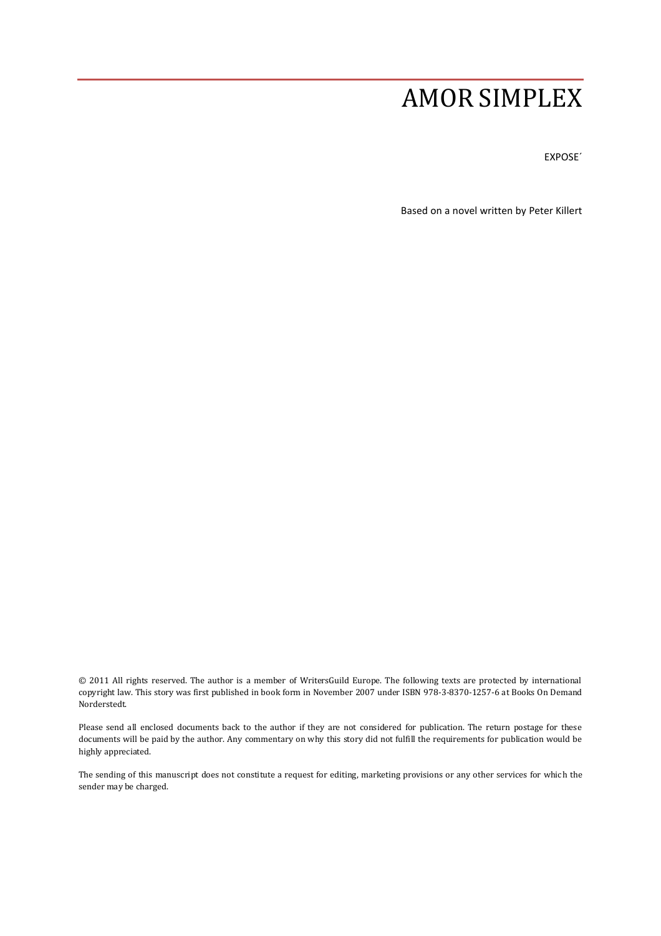# AMOR SIMPLEX

EXPOSE´

Based on a novel written by Peter Killert

© 2011 All rights reserved. The author is a member of WritersGuild Europe. The following texts are protected by international copyright law. This story was first published in book form in November 2007 under ISBN 978-3-8370-1257-6 at Books On Demand Norderstedt.

Please send all enclosed documents back to the author if they are not considered for publication. The return postage for these documents will be paid by the author. Any commentary on why this story did not fulfill the requirements for publication would be highly appreciated.

The sending of this manuscript does not constitute a request for editing, marketing provisions or any other services for which the sender may be charged.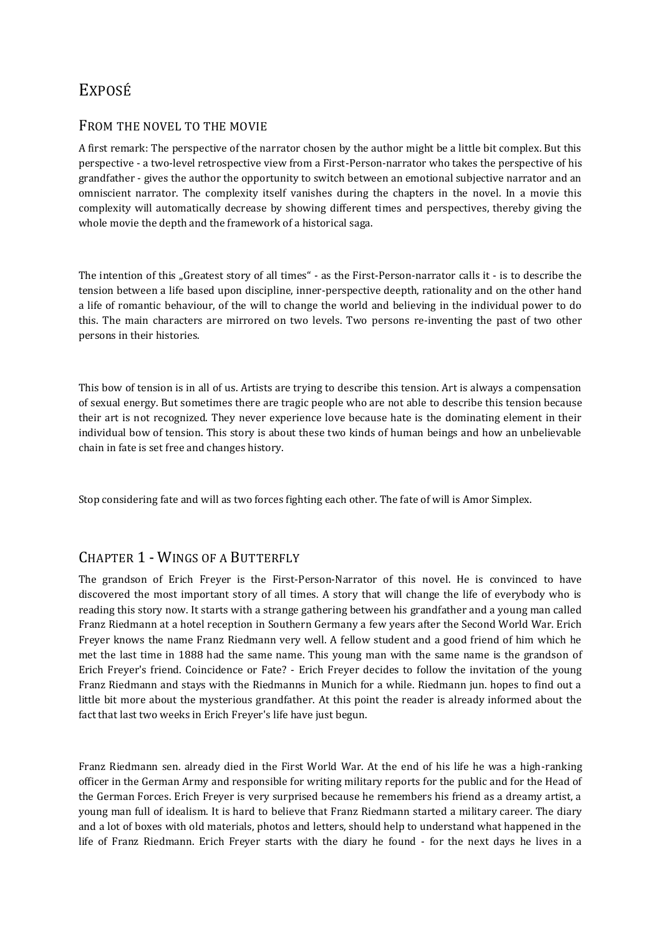## EXPOSÉ

#### FROM THE NOVEL TO THE MOVIE

A first remark: The perspective of the narrator chosen by the author might be a little bit complex. But this perspective - a two-level retrospective view from a First-Person-narrator who takes the perspective of his grandfather - gives the author the opportunity to switch between an emotional subjective narrator and an omniscient narrator. The complexity itself vanishes during the chapters in the novel. In a movie this complexity will automatically decrease by showing different times and perspectives, thereby giving the whole movie the depth and the framework of a historical saga.

The intention of this "Greatest story of all times" - as the First-Person-narrator calls it - is to describe the tension between a life based upon discipline, inner-perspective deepth, rationality and on the other hand a life of romantic behaviour, of the will to change the world and believing in the individual power to do this. The main characters are mirrored on two levels. Two persons re-inventing the past of two other persons in their histories.

This bow of tension is in all of us. Artists are trying to describe this tension. Art is always a compensation of sexual energy. But sometimes there are tragic people who are not able to describe this tension because their art is not recognized. They never experience love because hate is the dominating element in their individual bow of tension. This story is about these two kinds of human beings and how an unbelievable chain in fate is set free and changes history.

Stop considering fate and will as two forces fighting each other. The fate of will is Amor Simplex.

## CHAPTER 1 - WINGS OF A BUTTERFLY

The grandson of Erich Freyer is the First-Person-Narrator of this novel. He is convinced to have discovered the most important story of all times. A story that will change the life of everybody who is reading this story now. It starts with a strange gathering between his grandfather and a young man called Franz Riedmann at a hotel reception in Southern Germany a few years after the Second World War. Erich Freyer knows the name Franz Riedmann very well. A fellow student and a good friend of him which he met the last time in 1888 had the same name. This young man with the same name is the grandson of Erich Freyer's friend. Coincidence or Fate? - Erich Freyer decides to follow the invitation of the young Franz Riedmann and stays with the Riedmanns in Munich for a while. Riedmann jun. hopes to find out a little bit more about the mysterious grandfather. At this point the reader is already informed about the fact that last two weeks in Erich Freyer's life have just begun.

Franz Riedmann sen. already died in the First World War. At the end of his life he was a high-ranking officer in the German Army and responsible for writing military reports for the public and for the Head of the German Forces. Erich Freyer is very surprised because he remembers his friend as a dreamy artist, a young man full of idealism. It is hard to believe that Franz Riedmann started a military career. The diary and a lot of boxes with old materials, photos and letters, should help to understand what happened in the life of Franz Riedmann. Erich Freyer starts with the diary he found - for the next days he lives in a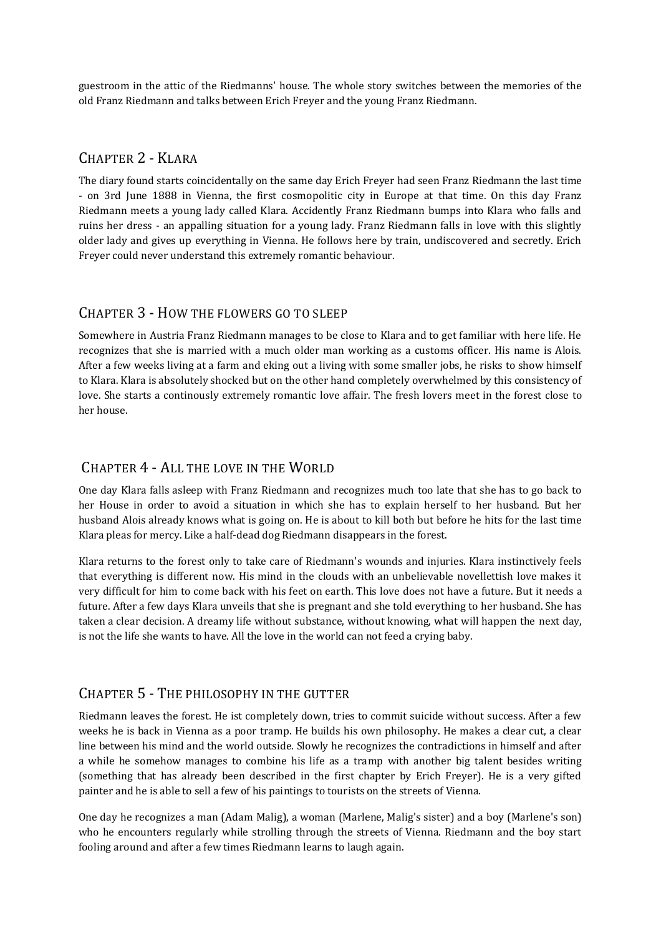guestroom in the attic of the Riedmanns' house. The whole story switches between the memories of the old Franz Riedmann and talks between Erich Freyer and the young Franz Riedmann.

#### CHAPTER 2 - KLARA

The diary found starts coincidentally on the same day Erich Freyer had seen Franz Riedmann the last time - on 3rd June 1888 in Vienna, the first cosmopolitic city in Europe at that time. On this day Franz Riedmann meets a young lady called Klara. Accidently Franz Riedmann bumps into Klara who falls and ruins her dress - an appalling situation for a young lady. Franz Riedmann falls in love with this slightly older lady and gives up everything in Vienna. He follows here by train, undiscovered and secretly. Erich Freyer could never understand this extremely romantic behaviour.

#### CHAPTER 3 - HOW THE FLOWERS GO TO SLEEP

Somewhere in Austria Franz Riedmann manages to be close to Klara and to get familiar with here life. He recognizes that she is married with a much older man working as a customs officer. His name is Alois. After a few weeks living at a farm and eking out a living with some smaller jobs, he risks to show himself to Klara. Klara is absolutely shocked but on the other hand completely overwhelmed by this consistency of love. She starts a continously extremely romantic love affair. The fresh lovers meet in the forest close to her house.

## CHAPTER 4 - ALL THE LOVE IN THE WORLD

One day Klara falls asleep with Franz Riedmann and recognizes much too late that she has to go back to her House in order to avoid a situation in which she has to explain herself to her husband. But her husband Alois already knows what is going on. He is about to kill both but before he hits for the last time Klara pleas for mercy. Like a half-dead dog Riedmann disappears in the forest.

Klara returns to the forest only to take care of Riedmann's wounds and injuries. Klara instinctively feels that everything is different now. His mind in the clouds with an unbelievable novellettish love makes it very difficult for him to come back with his feet on earth. This love does not have a future. But it needs a future. After a few days Klara unveils that she is pregnant and she told everything to her husband. She has taken a clear decision. A dreamy life without substance, without knowing, what will happen the next day, is not the life she wants to have. All the love in the world can not feed a crying baby.

#### CHAPTER 5 - THE PHILOSOPHY IN THE GUTTER

Riedmann leaves the forest. He ist completely down, tries to commit suicide without success. After a few weeks he is back in Vienna as a poor tramp. He builds his own philosophy. He makes a clear cut, a clear line between his mind and the world outside. Slowly he recognizes the contradictions in himself and after a while he somehow manages to combine his life as a tramp with another big talent besides writing (something that has already been described in the first chapter by Erich Freyer). He is a very gifted painter and he is able to sell a few of his paintings to tourists on the streets of Vienna.

One day he recognizes a man (Adam Malig), a woman (Marlene, Malig's sister) and a boy (Marlene's son) who he encounters regularly while strolling through the streets of Vienna. Riedmann and the boy start fooling around and after a few times Riedmann learns to laugh again.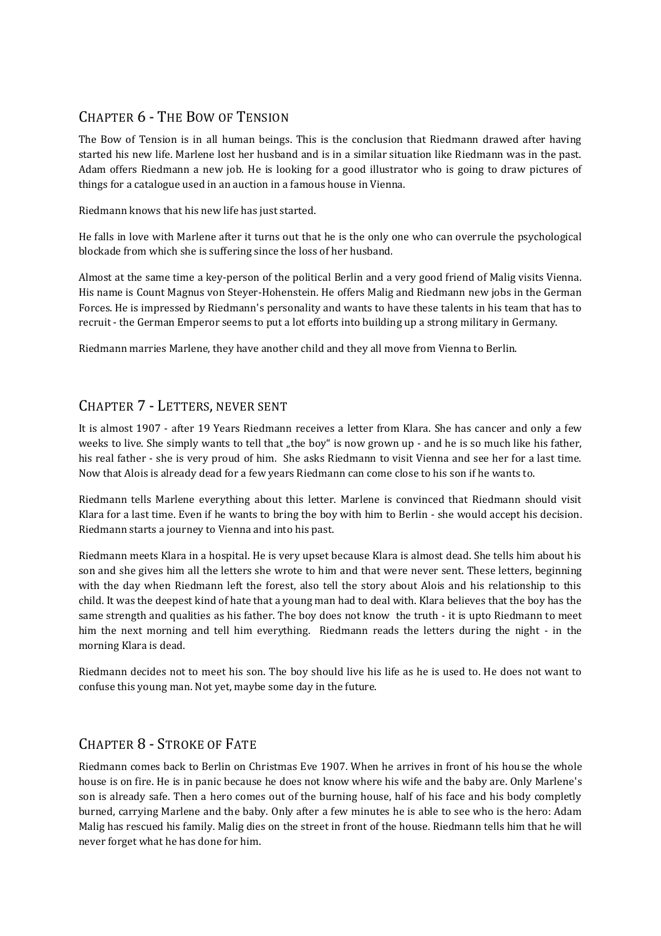## CHAPTER 6 - THE BOW OF TENSION

The Bow of Tension is in all human beings. This is the conclusion that Riedmann drawed after having started his new life. Marlene lost her husband and is in a similar situation like Riedmann was in the past. Adam offers Riedmann a new job. He is looking for a good illustrator who is going to draw pictures of things for a catalogue used in an auction in a famous house in Vienna.

Riedmann knows that his new life has just started.

He falls in love with Marlene after it turns out that he is the only one who can overrule the psychological blockade from which she is suffering since the loss of her husband.

Almost at the same time a key-person of the political Berlin and a very good friend of Malig visits Vienna. His name is Count Magnus von Steyer-Hohenstein. He offers Malig and Riedmann new jobs in the German Forces. He is impressed by Riedmann's personality and wants to have these talents in his team that has to recruit - the German Emperor seems to put a lot efforts into building up a strong military in Germany.

Riedmann marries Marlene, they have another child and they all move from Vienna to Berlin.

## CHAPTER 7 - LETTERS, NEVER SENT

It is almost 1907 - after 19 Years Riedmann receives a letter from Klara. She has cancer and only a few weeks to live. She simply wants to tell that "the boy" is now grown up - and he is so much like his father, his real father - she is very proud of him. She asks Riedmann to visit Vienna and see her for a last time. Now that Alois is already dead for a few years Riedmann can come close to his son if he wants to.

Riedmann tells Marlene everything about this letter. Marlene is convinced that Riedmann should visit Klara for a last time. Even if he wants to bring the boy with him to Berlin - she would accept his decision. Riedmann starts a journey to Vienna and into his past.

Riedmann meets Klara in a hospital. He is very upset because Klara is almost dead. She tells him about his son and she gives him all the letters she wrote to him and that were never sent. These letters, beginning with the day when Riedmann left the forest, also tell the story about Alois and his relationship to this child. It was the deepest kind of hate that a young man had to deal with. Klara believes that the boy has the same strength and qualities as his father. The boy does not know the truth - it is upto Riedmann to meet him the next morning and tell him everything. Riedmann reads the letters during the night - in the morning Klara is dead.

Riedmann decides not to meet his son. The boy should live his life as he is used to. He does not want to confuse this young man. Not yet, maybe some day in the future.

## CHAPTER 8 - STROKE OF FATE

Riedmann comes back to Berlin on Christmas Eve 1907. When he arrives in front of his house the whole house is on fire. He is in panic because he does not know where his wife and the baby are. Only Marlene's son is already safe. Then a hero comes out of the burning house, half of his face and his body completly burned, carrying Marlene and the baby. Only after a few minutes he is able to see who is the hero: Adam Malig has rescued his family. Malig dies on the street in front of the house. Riedmann tells him that he will never forget what he has done for him.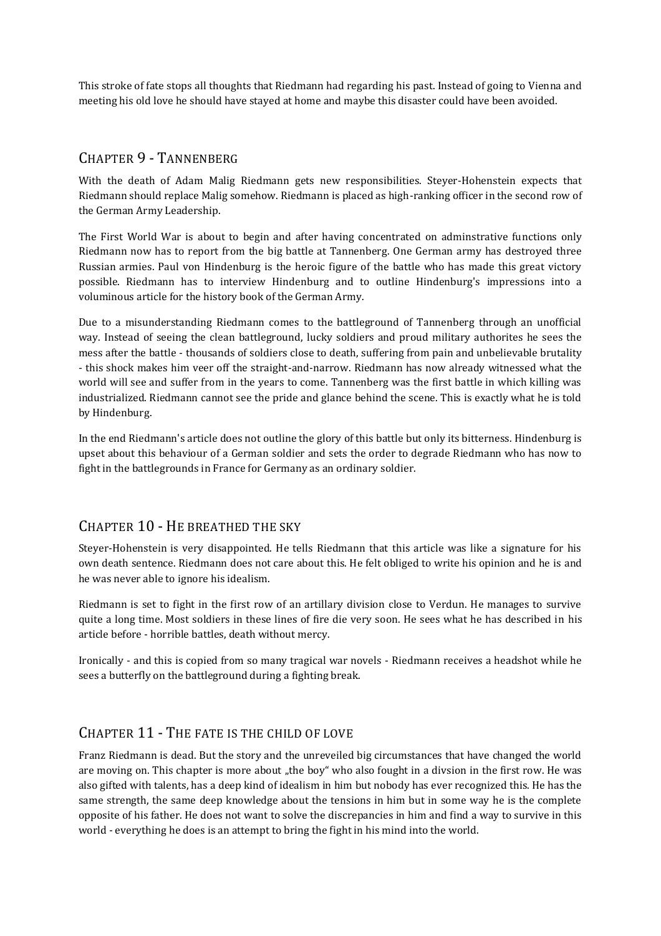This stroke of fate stops all thoughts that Riedmann had regarding his past. Instead of going to Vienna and meeting his old love he should have stayed at home and maybe this disaster could have been avoided.

#### CHAPTER 9 - TANNENBERG

With the death of Adam Malig Riedmann gets new responsibilities. Steyer-Hohenstein expects that Riedmann should replace Malig somehow. Riedmann is placed as high-ranking officer in the second row of the German Army Leadership.

The First World War is about to begin and after having concentrated on adminstrative functions only Riedmann now has to report from the big battle at Tannenberg. One German army has destroyed three Russian armies. Paul von Hindenburg is the heroic figure of the battle who has made this great victory possible. Riedmann has to interview Hindenburg and to outline Hindenburg's impressions into a voluminous article for the history book of the German Army.

Due to a misunderstanding Riedmann comes to the battleground of Tannenberg through an unofficial way. Instead of seeing the clean battleground, lucky soldiers and proud military authorites he sees the mess after the battle - thousands of soldiers close to death, suffering from pain and unbelievable brutality - this shock makes him veer off the straight-and-narrow. Riedmann has now already witnessed what the world will see and suffer from in the years to come. Tannenberg was the first battle in which killing was industrialized. Riedmann cannot see the pride and glance behind the scene. This is exactly what he is told by Hindenburg.

In the end Riedmann's article does not outline the glory of this battle but only its bitterness. Hindenburg is upset about this behaviour of a German soldier and sets the order to degrade Riedmann who has now to fight in the battlegrounds in France for Germany as an ordinary soldier.

## CHAPTER 10 - HE BREATHED THE SKY

Steyer-Hohenstein is very disappointed. He tells Riedmann that this article was like a signature for his own death sentence. Riedmann does not care about this. He felt obliged to write his opinion and he is and he was never able to ignore his idealism.

Riedmann is set to fight in the first row of an artillary division close to Verdun. He manages to survive quite a long time. Most soldiers in these lines of fire die very soon. He sees what he has described in his article before - horrible battles, death without mercy.

Ironically - and this is copied from so many tragical war novels - Riedmann receives a headshot while he sees a butterfly on the battleground during a fighting break.

## CHAPTER 11 - THE FATE IS THE CHILD OF LOVE

Franz Riedmann is dead. But the story and the unreveiled big circumstances that have changed the world are moving on. This chapter is more about "the boy" who also fought in a divsion in the first row. He was also gifted with talents, has a deep kind of idealism in him but nobody has ever recognized this. He has the same strength, the same deep knowledge about the tensions in him but in some way he is the complete opposite of his father. He does not want to solve the discrepancies in him and find a way to survive in this world - everything he does is an attempt to bring the fight in his mind into the world.